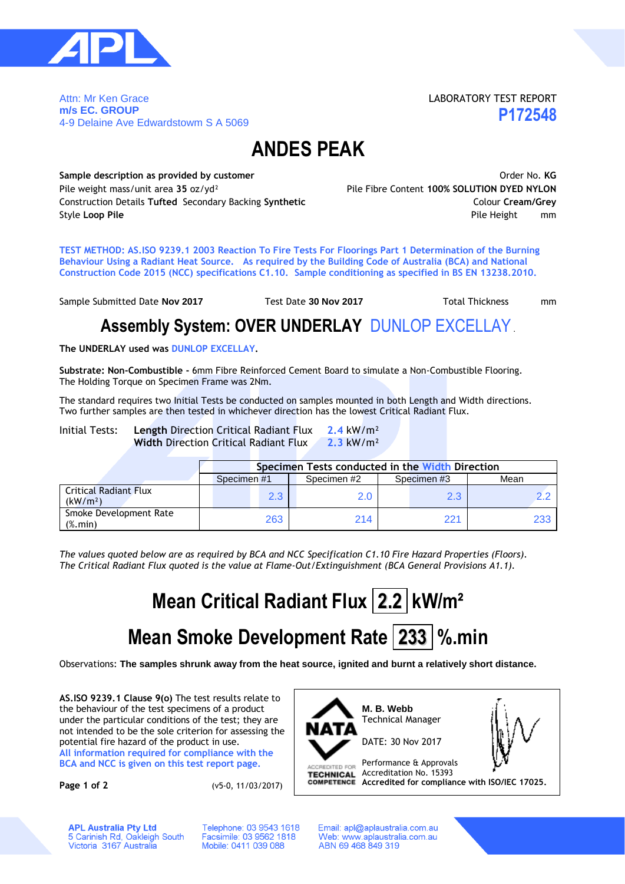

Attn: Mr Ken Grace **m/s EC. GROUP** 4-9 Delaine Ave Edwardstowm S A 5069 LABORATORY TEST REPORT **P172548**

### **ANDES PEAK**

**Sample description as provided by customer COVID-100 COVID-100 COVID-100 COVID-100 COVID-100 COVID-100 COVID-100 COVID-100 COVID-100 COVID-100 COVID-100 COVID-100 COVID-100 COVID-100 COVID-100 COVID-100 COVID-100 COVID-**Pile weight mass/unit area **35** oz/yd² Pile Fibre Content **100% SOLUTION DYED NYLON** Construction Details **Tufted** Secondary Backing **Synthetic** Colour **Cream/Grey Style Loop Pile Pile Height** mm

**TEST METHOD: AS.ISO 9239.1 2003 Reaction To Fire Tests For Floorings Part 1 Determination of the Burning Behaviour Using a Radiant Heat Source. As required by the Building Code of Australia (BCA) and National Construction Code 2015 (NCC) specifications C1.10. Sample conditioning as specified in BS EN 13238.2010.**

Sample Submitted Date **Nov 2017** Test Date 30 Nov 2017 Total Thickness mm

**Assembly System: OVER UNDERLAY** DUNLOP EXCELLAY.

**The UNDERLAY used was DUNLOP EXCELLAY.**

**Substrate: Non-Combustible -** 6mm Fibre Reinforced Cement Board to simulate a Non-Combustible Flooring. The Holding Torque on Specimen Frame was 2Nm.

The standard requires two Initial Tests be conducted on samples mounted in both Length and Width directions. Two further samples are then tested in whichever direction has the lowest Critical Radiant Flux.

Initial Tests: **Length** Direction Critical Radiant Flux **2.4** kW/m² **Width** Direction Critical Radiant Flux **2.3** kW/m²

|                                                                  | Specimen Tests conducted in the Width Direction |             |             |      |  |  |  |  |
|------------------------------------------------------------------|-------------------------------------------------|-------------|-------------|------|--|--|--|--|
|                                                                  | Specimen #1                                     | Specimen #2 | Specimen #3 | Mean |  |  |  |  |
| <b>Critical Radiant Flux</b><br>(kW/m <sup>2</sup> )             | 2.3                                             | 2.0         | 2.3         |      |  |  |  |  |
| Smoke Development Rate<br>$(% \mathcal{L}_{0}^{\infty})$ (%.min) | 263                                             | 214         | 221         | 233  |  |  |  |  |

*The values quoted below are as required by BCA and NCC Specification C1.10 Fire Hazard Properties (Floors). The Critical Radiant Flux quoted is the value at Flame-Out/Extinguishment (BCA General Provisions A1.1).*

# **Mean Critical Radiant Flux 2.2 kW/m²**

## **Mean Smoke Development Rate 233 %.min**

Observations: **The samples shrunk away from the heat source, ignited and burnt a relatively short distance.**

**AS.ISO 9239.1 Clause 9(o)** The test results relate to the behaviour of the test specimens of a product under the particular conditions of the test; they are not intended to be the sole criterion for assessing the potential fire hazard of the product in use. **All information required for compliance with the BCA and NCC is given on this test report page.**

**Page 1 of 2** (v5-0, 11/03/2017)



Technical Manager DATE: 30 Nov 2017

Performance & Approvals ACCREDITED FOR **TECHNICAL** Accreditation No. 15393

**Accredited for compliance with ISO/IEC 17025.**

**APL Australia Pty Ltd** 5 Carinish Rd, Oakleigh South<br>Victoria 3167 Australia Telephone: 03 9543 1618 Facsimile: 03 9562 1818 Mobile: 0411 039 088

Email: apl@aplaustralia.com.au Web: www.aplaustralia.com.au ABN 69 468 849 319